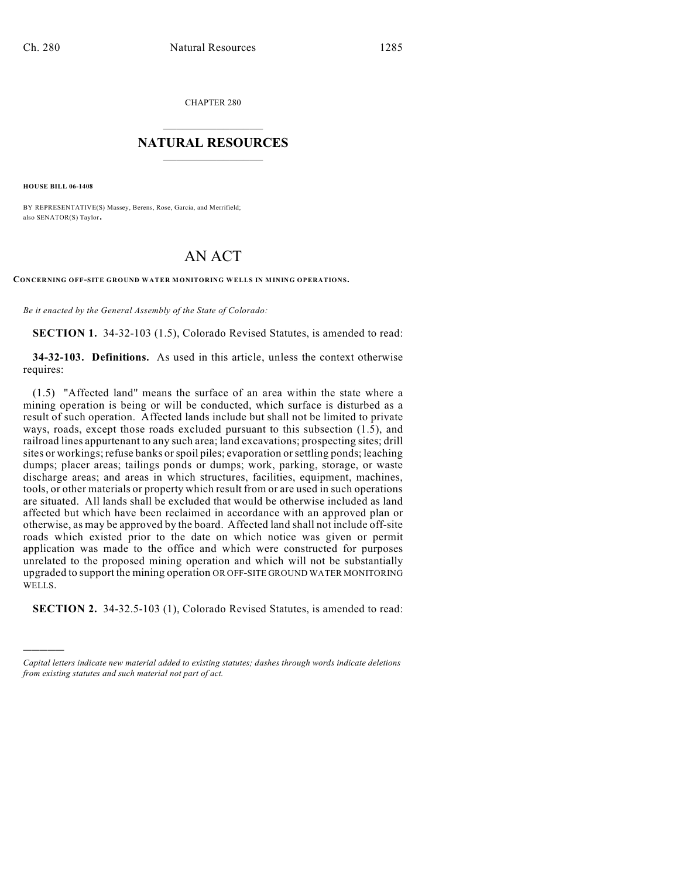CHAPTER 280

## $\mathcal{L}_\text{max}$  . The set of the set of the set of the set of the set of the set of the set of the set of the set of the set of the set of the set of the set of the set of the set of the set of the set of the set of the set **NATURAL RESOURCES**  $\frac{1}{\sqrt{2}}$  , where  $\frac{1}{\sqrt{2}}$  ,  $\frac{1}{\sqrt{2}}$  ,  $\frac{1}{\sqrt{2}}$

**HOUSE BILL 06-1408**

)))))

BY REPRESENTATIVE(S) Massey, Berens, Rose, Garcia, and Merrifield; also SENATOR(S) Taylor.

## AN ACT

**CONCERNING OFF-SITE GROUND WATER MONITORING WELLS IN MINING OPERATIONS.**

*Be it enacted by the General Assembly of the State of Colorado:*

**SECTION 1.** 34-32-103 (1.5), Colorado Revised Statutes, is amended to read:

**34-32-103. Definitions.** As used in this article, unless the context otherwise requires:

(1.5) "Affected land" means the surface of an area within the state where a mining operation is being or will be conducted, which surface is disturbed as a result of such operation. Affected lands include but shall not be limited to private ways, roads, except those roads excluded pursuant to this subsection (1.5), and railroad lines appurtenant to any such area; land excavations; prospecting sites; drill sites or workings; refuse banks or spoil piles; evaporation or settling ponds; leaching dumps; placer areas; tailings ponds or dumps; work, parking, storage, or waste discharge areas; and areas in which structures, facilities, equipment, machines, tools, or other materials or property which result from or are used in such operations are situated. All lands shall be excluded that would be otherwise included as land affected but which have been reclaimed in accordance with an approved plan or otherwise, as may be approved by the board. Affected land shall not include off-site roads which existed prior to the date on which notice was given or permit application was made to the office and which were constructed for purposes unrelated to the proposed mining operation and which will not be substantially upgraded to support the mining operation OR OFF-SITE GROUND WATER MONITORING WELLS.

**SECTION 2.** 34-32.5-103 (1), Colorado Revised Statutes, is amended to read:

*Capital letters indicate new material added to existing statutes; dashes through words indicate deletions from existing statutes and such material not part of act.*